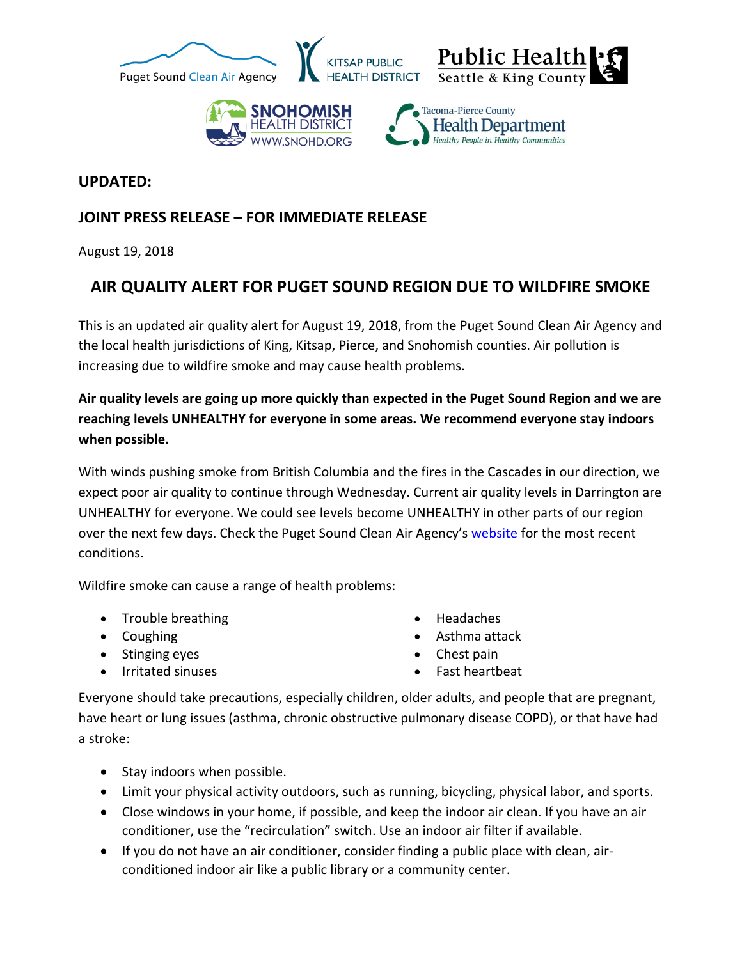





## **UPDATED:**

## **JOINT PRESS RELEASE – FOR IMMEDIATE RELEASE**

August 19, 2018

## **AIR QUALITY ALERT FOR PUGET SOUND REGION DUE TO WILDFIRE SMOKE**

This is an updated air quality alert for August 19, 2018, from the Puget Sound Clean Air Agency and the local health jurisdictions of King, Kitsap, Pierce, and Snohomish counties. Air pollution is increasing due to wildfire smoke and may cause health problems.

**Air quality levels are going up more quickly than expected in the Puget Sound Region and we are reaching levels UNHEALTHY for everyone in some areas. We recommend everyone stay indoors when possible.** 

With winds pushing smoke from British Columbia and the fires in the Cascades in our direction, we expect poor air quality to continue through Wednesday. Current air quality levels in Darrington are UNHEALTHY for everyone. We could see levels become UNHEALTHY in other parts of our region over the next few days. Check the Puget Sound Clean Air Agency's [website](http://www.pscleanair.org/) for the most recent conditions.

Wildfire smoke can cause a range of health problems:

- Trouble breathing
- Coughing
- Stinging eyes
- Irritated sinuses
- Headaches
- Asthma attack
- Chest pain
- Fast heartbeat

Everyone should take precautions, especially children, older adults, and people that are pregnant, have heart or lung issues (asthma, chronic obstructive pulmonary disease COPD), or that have had a stroke:

- Stay indoors when possible.
- Limit your physical activity outdoors, such as running, bicycling, physical labor, and sports.
- Close windows in your home, if possible, and keep the indoor air clean. If you have an air conditioner, use the "recirculation" switch. Use an indoor air filter if available.
- If you do not have an air conditioner, consider finding a public place with clean, airconditioned indoor air like a public library or a community center.